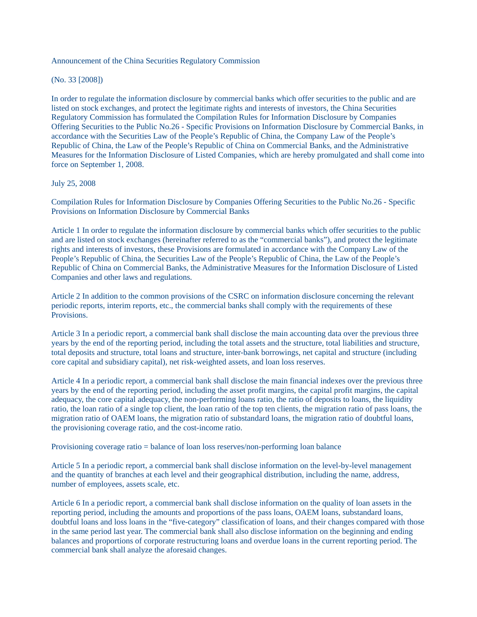## Announcement of the China Securities Regulatory Commission

(No. 33 [2008])

In order to regulate the information disclosure by commercial banks which offer securities to the public and are listed on stock exchanges, and protect the legitimate rights and interests of investors, the China Securities Regulatory Commission has formulated the Compilation Rules for Information Disclosure by Companies Offering Securities to the Public No.26 - Specific Provisions on Information Disclosure by Commercial Banks, in accordance with the Securities Law of the People's Republic of China, the Company Law of the People's Republic of China, the Law of the People's Republic of China on Commercial Banks, and the Administrative Measures for the Information Disclosure of Listed Companies, which are hereby promulgated and shall come into force on September 1, 2008.

## July 25, 2008

Compilation Rules for Information Disclosure by Companies Offering Securities to the Public No.26 - Specific Provisions on Information Disclosure by Commercial Banks

Article 1 In order to regulate the information disclosure by commercial banks which offer securities to the public and are listed on stock exchanges (hereinafter referred to as the "commercial banks"), and protect the legitimate rights and interests of investors, these Provisions are formulated in accordance with the Company Law of the People's Republic of China, the Securities Law of the People's Republic of China, the Law of the People's Republic of China on Commercial Banks, the Administrative Measures for the Information Disclosure of Listed Companies and other laws and regulations.

Article 2 In addition to the common provisions of the CSRC on information disclosure concerning the relevant periodic reports, interim reports, etc., the commercial banks shall comply with the requirements of these Provisions.

Article 3 In a periodic report, a commercial bank shall disclose the main accounting data over the previous three years by the end of the reporting period, including the total assets and the structure, total liabilities and structure, total deposits and structure, total loans and structure, inter-bank borrowings, net capital and structure (including core capital and subsidiary capital), net risk-weighted assets, and loan loss reserves.

Article 4 In a periodic report, a commercial bank shall disclose the main financial indexes over the previous three years by the end of the reporting period, including the asset profit margins, the capital profit margins, the capital adequacy, the core capital adequacy, the non-performing loans ratio, the ratio of deposits to loans, the liquidity ratio, the loan ratio of a single top client, the loan ratio of the top ten clients, the migration ratio of pass loans, the migration ratio of OAEM loans, the migration ratio of substandard loans, the migration ratio of doubtful loans, the provisioning coverage ratio, and the cost-income ratio.

Provisioning coverage ratio = balance of loan loss reserves/non-performing loan balance

Article 5 In a periodic report, a commercial bank shall disclose information on the level-by-level management and the quantity of branches at each level and their geographical distribution, including the name, address, number of employees, assets scale, etc.

Article 6 In a periodic report, a commercial bank shall disclose information on the quality of loan assets in the reporting period, including the amounts and proportions of the pass loans, OAEM loans, substandard loans, doubtful loans and loss loans in the "five-category" classification of loans, and their changes compared with those in the same period last year. The commercial bank shall also disclose information on the beginning and ending balances and proportions of corporate restructuring loans and overdue loans in the current reporting period. The commercial bank shall analyze the aforesaid changes.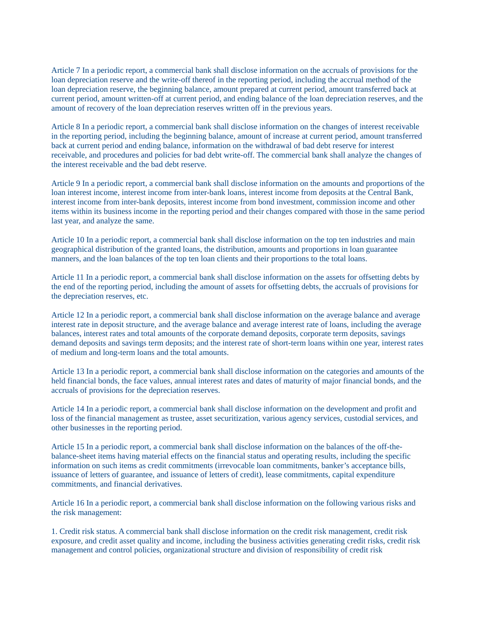Article 7 In a periodic report, a commercial bank shall disclose information on the accruals of provisions for the loan depreciation reserve and the write-off thereof in the reporting period, including the accrual method of the loan depreciation reserve, the beginning balance, amount prepared at current period, amount transferred back at current period, amount written-off at current period, and ending balance of the loan depreciation reserves, and the amount of recovery of the loan depreciation reserves written off in the previous years.

Article 8 In a periodic report, a commercial bank shall disclose information on the changes of interest receivable in the reporting period, including the beginning balance, amount of increase at current period, amount transferred back at current period and ending balance, information on the withdrawal of bad debt reserve for interest receivable, and procedures and policies for bad debt write-off. The commercial bank shall analyze the changes of the interest receivable and the bad debt reserve.

Article 9 In a periodic report, a commercial bank shall disclose information on the amounts and proportions of the loan interest income, interest income from inter-bank loans, interest income from deposits at the Central Bank, interest income from inter-bank deposits, interest income from bond investment, commission income and other items within its business income in the reporting period and their changes compared with those in the same period last year, and analyze the same.

Article 10 In a periodic report, a commercial bank shall disclose information on the top ten industries and main geographical distribution of the granted loans, the distribution, amounts and proportions in loan guarantee manners, and the loan balances of the top ten loan clients and their proportions to the total loans.

Article 11 In a periodic report, a commercial bank shall disclose information on the assets for offsetting debts by the end of the reporting period, including the amount of assets for offsetting debts, the accruals of provisions for the depreciation reserves, etc.

Article 12 In a periodic report, a commercial bank shall disclose information on the average balance and average interest rate in deposit structure, and the average balance and average interest rate of loans, including the average balances, interest rates and total amounts of the corporate demand deposits, corporate term deposits, savings demand deposits and savings term deposits; and the interest rate of short-term loans within one year, interest rates of medium and long-term loans and the total amounts.

Article 13 In a periodic report, a commercial bank shall disclose information on the categories and amounts of the held financial bonds, the face values, annual interest rates and dates of maturity of major financial bonds, and the accruals of provisions for the depreciation reserves.

Article 14 In a periodic report, a commercial bank shall disclose information on the development and profit and loss of the financial management as trustee, asset securitization, various agency services, custodial services, and other businesses in the reporting period.

Article 15 In a periodic report, a commercial bank shall disclose information on the balances of the off-thebalance-sheet items having material effects on the financial status and operating results, including the specific information on such items as credit commitments (irrevocable loan commitments, banker's acceptance bills, issuance of letters of guarantee, and issuance of letters of credit), lease commitments, capital expenditure commitments, and financial derivatives.

Article 16 In a periodic report, a commercial bank shall disclose information on the following various risks and the risk management:

1. Credit risk status. A commercial bank shall disclose information on the credit risk management, credit risk exposure, and credit asset quality and income, including the business activities generating credit risks, credit risk management and control policies, organizational structure and division of responsibility of credit risk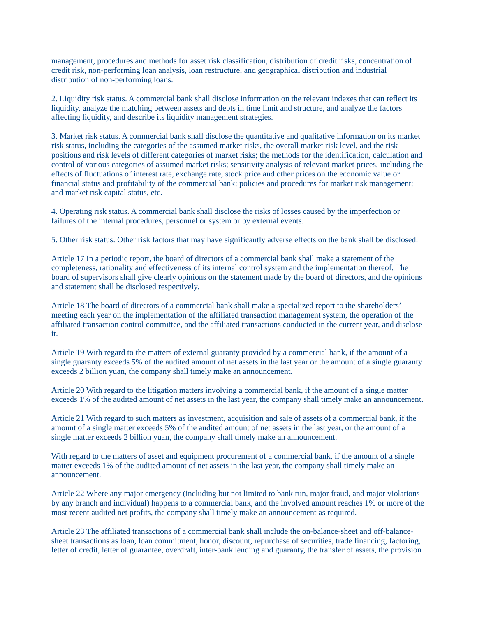management, procedures and methods for asset risk classification, distribution of credit risks, concentration of credit risk, non-performing loan analysis, loan restructure, and geographical distribution and industrial distribution of non-performing loans.

2. Liquidity risk status. A commercial bank shall disclose information on the relevant indexes that can reflect its liquidity, analyze the matching between assets and debts in time limit and structure, and analyze the factors affecting liquidity, and describe its liquidity management strategies.

3. Market risk status. A commercial bank shall disclose the quantitative and qualitative information on its market risk status, including the categories of the assumed market risks, the overall market risk level, and the risk positions and risk levels of different categories of market risks; the methods for the identification, calculation and control of various categories of assumed market risks; sensitivity analysis of relevant market prices, including the effects of fluctuations of interest rate, exchange rate, stock price and other prices on the economic value or financial status and profitability of the commercial bank; policies and procedures for market risk management; and market risk capital status, etc.

4. Operating risk status. A commercial bank shall disclose the risks of losses caused by the imperfection or failures of the internal procedures, personnel or system or by external events.

5. Other risk status. Other risk factors that may have significantly adverse effects on the bank shall be disclosed.

Article 17 In a periodic report, the board of directors of a commercial bank shall make a statement of the completeness, rationality and effectiveness of its internal control system and the implementation thereof. The board of supervisors shall give clearly opinions on the statement made by the board of directors, and the opinions and statement shall be disclosed respectively.

Article 18 The board of directors of a commercial bank shall make a specialized report to the shareholders' meeting each year on the implementation of the affiliated transaction management system, the operation of the affiliated transaction control committee, and the affiliated transactions conducted in the current year, and disclose it.

Article 19 With regard to the matters of external guaranty provided by a commercial bank, if the amount of a single guaranty exceeds 5% of the audited amount of net assets in the last year or the amount of a single guaranty exceeds 2 billion yuan, the company shall timely make an announcement.

Article 20 With regard to the litigation matters involving a commercial bank, if the amount of a single matter exceeds 1% of the audited amount of net assets in the last year, the company shall timely make an announcement.

Article 21 With regard to such matters as investment, acquisition and sale of assets of a commercial bank, if the amount of a single matter exceeds 5% of the audited amount of net assets in the last year, or the amount of a single matter exceeds 2 billion yuan, the company shall timely make an announcement.

With regard to the matters of asset and equipment procurement of a commercial bank, if the amount of a single matter exceeds 1% of the audited amount of net assets in the last year, the company shall timely make an announcement.

Article 22 Where any major emergency (including but not limited to bank run, major fraud, and major violations by any branch and individual) happens to a commercial bank, and the involved amount reaches 1% or more of the most recent audited net profits, the company shall timely make an announcement as required.

Article 23 The affiliated transactions of a commercial bank shall include the on-balance-sheet and off-balancesheet transactions as loan, loan commitment, honor, discount, repurchase of securities, trade financing, factoring, letter of credit, letter of guarantee, overdraft, inter-bank lending and guaranty, the transfer of assets, the provision